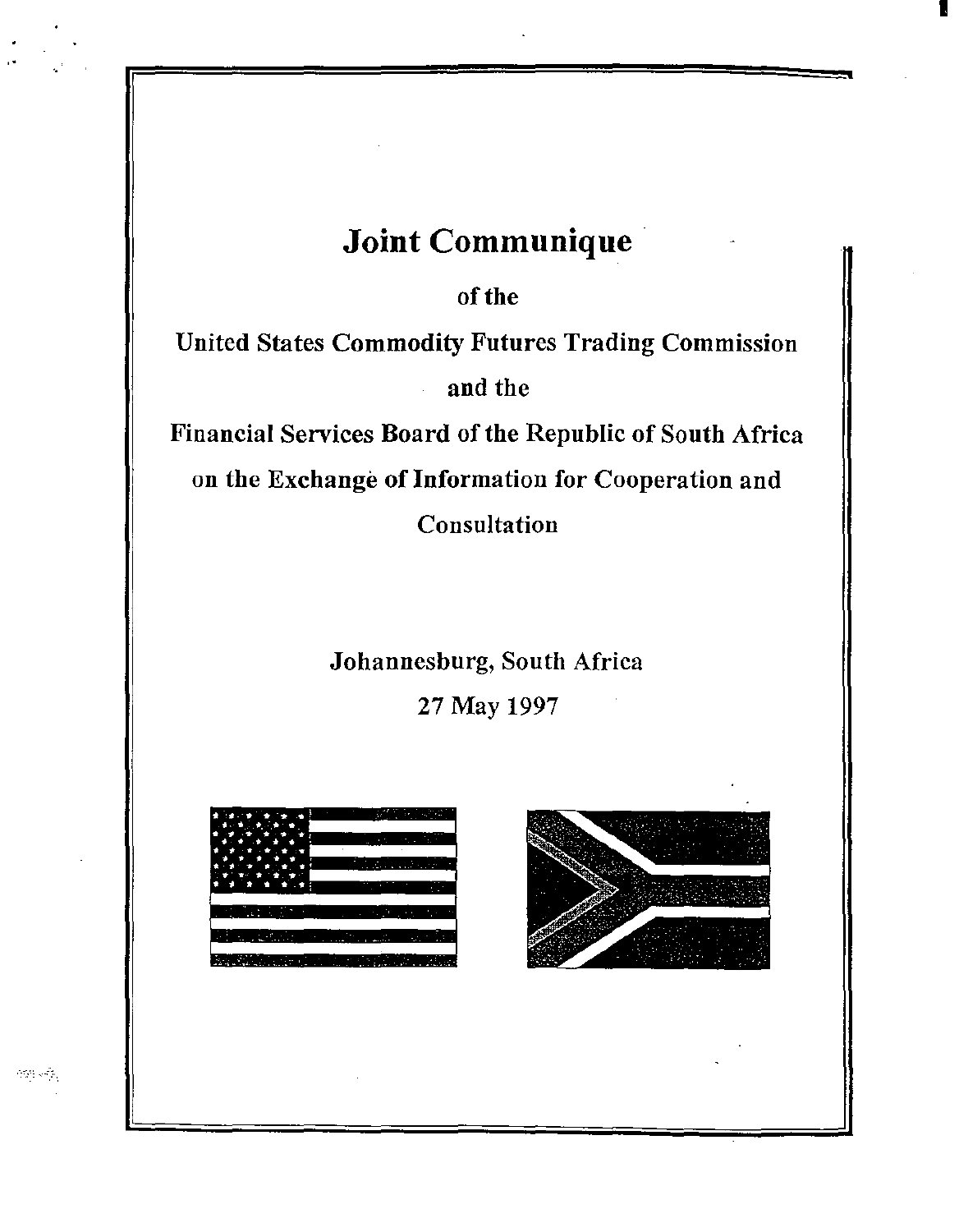## **Joint Communique**

of the

United States Commodity Futures Trading Commission and the

Financial Services Board of the Republic of South Africa on the Exchange of Information for Cooperation and Consultation

Johannesburg, South Africa

27 May 1997





I

ಿಗೆ ಸ್ಟೇ

..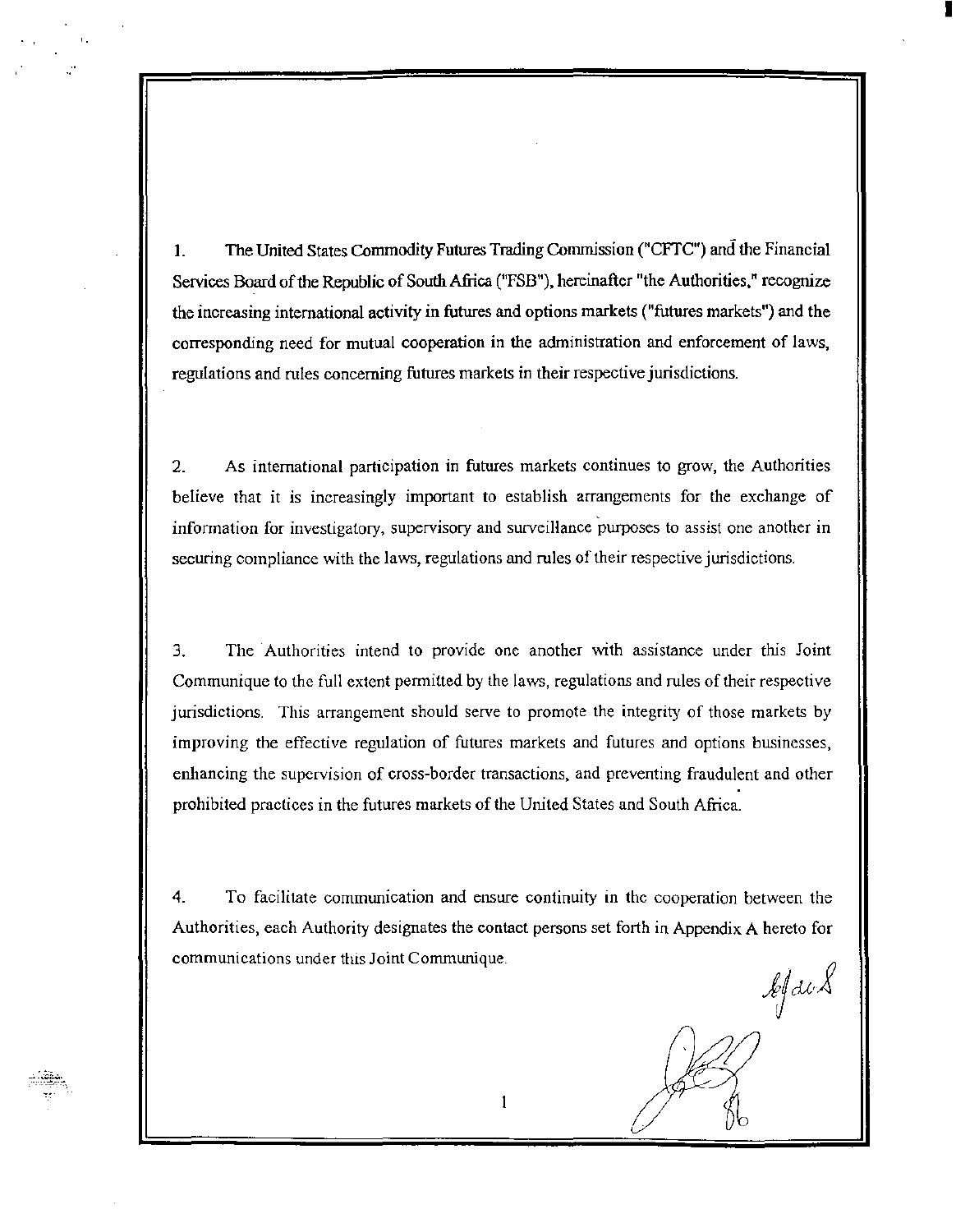1. The United States Commodity Futures Trading Commission ("CFTC") and the Financial Services Board of the Republic of South Africa ("FSB"), hereinafter "the Authorities," recognize the increasing international activity in futures and options markets ("futures markets") and the corresponding need for mutual cooperation in the administration and enforcement of laws, regulations and rules concerning futures markets in their respective jurisdictions.

'·

 $-$  -  $-$ 

2. As international participation in futures markets continues to grow, the Authorities believe that it is increasingly important to establish arrangements for the exchange of information for investigatory, supervisory and surveiHance 'purposes to assist one another in securing compliance with the laws, regulations and rules of their respective jurisdictions.

3. The Authorities intend to provide one another with assistance under this Joint Communique to the full extent permitted by the laws, regulations and rules of their respective jurisdictions. This arrangement should serve to promote the integrity of those markets by improving the effective regulation of futures markets and futures and options businesses, enhancing the supervision of cross-border transactions, and preventing fraudulent and other prohibited practices in the futures markets of the United States and South Africa.

4. To facilitate communication and ensure continuity m the cooperation between the Authorities, each Authority designates the contact persons set forth in Appendix A hereto for communications under this Joint Communique.

.kj&i

I

(~) / / / /

*tl tb*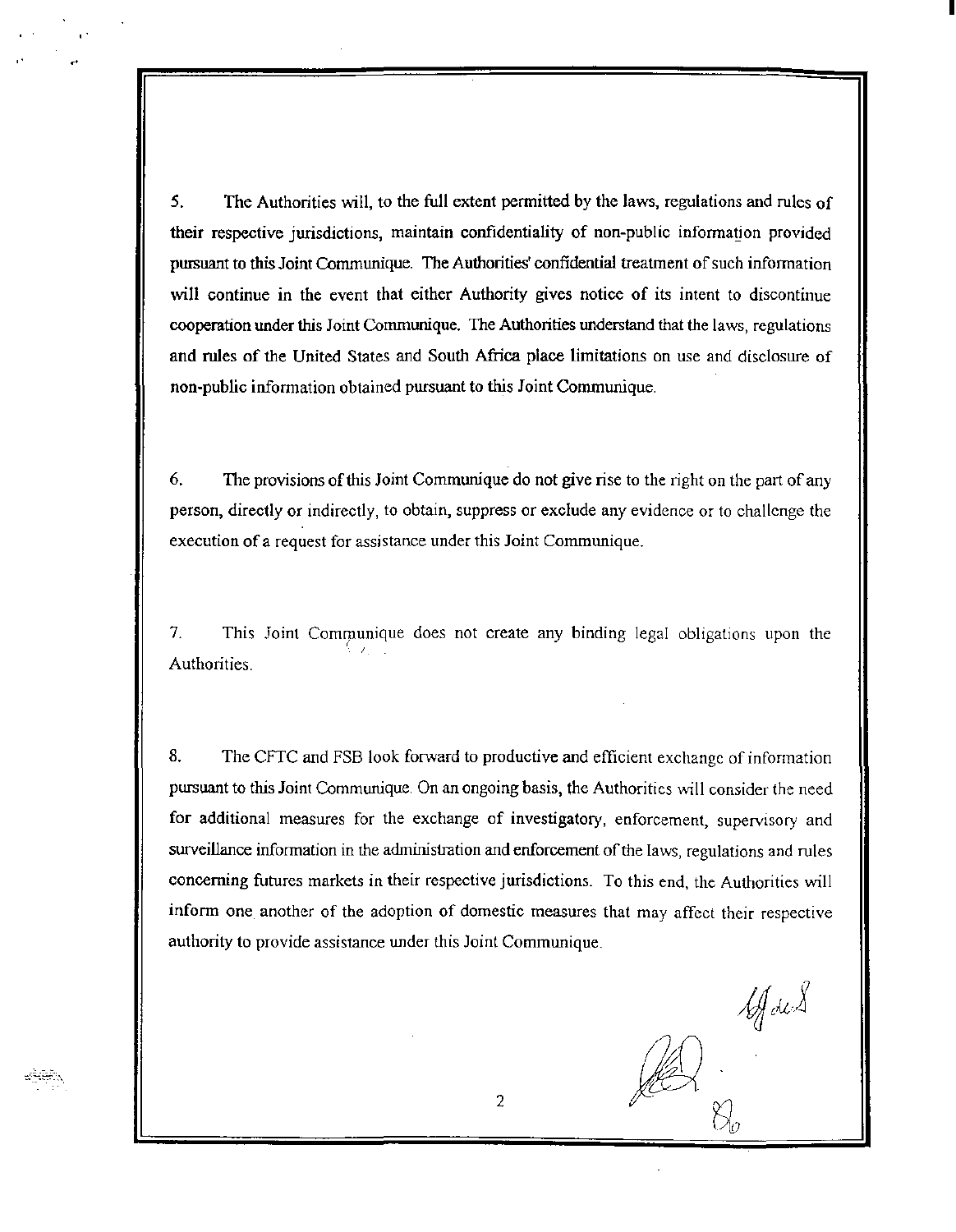*5.* The Authorities will, to the full extent pennitted by the laws, regulations and rules of their respective jurisdictions, maintain confidentiality of non-public infonnation provided pursuant to this Joint Communique. The Authorities' confidential treatment of such information will continue in the event that either Authority gives notice of its intent to discontinue cooperation under this Joint Communique. The Authorities understand that the laws, regulations and rules of the United States and South Africa place limitations on use and disclosure of non-public infonnation obtained pursuant to this Joint Communique.

6. The provisions of this Joint Communique do not give rise to the right on the part of any person, directly or indirectly, to obtain, suppress or exclude any evidence or to challenge the execution of a request for assistance under this Joint Communique.

7. This Joint Communique does not create any binding legal obligations upon the 9 v. l. Authorities.

8. The CFTC and FSB look forward to productive and efficient exchange of information pursuant to this Joint Communique. On an ongoing basis, the Authorities will consider the need for additional measures for the exchange of investigatory, enforcement, supervisory and surveillance information in the administration and enforcement of the laws, regulations and rules concerning futures markets in their respective jurisdictions. To this end, the Authorities will inform one another of the adoption of domestic measures that may affect their respective authority to provide assistance under this Joint Communique.

If des

I